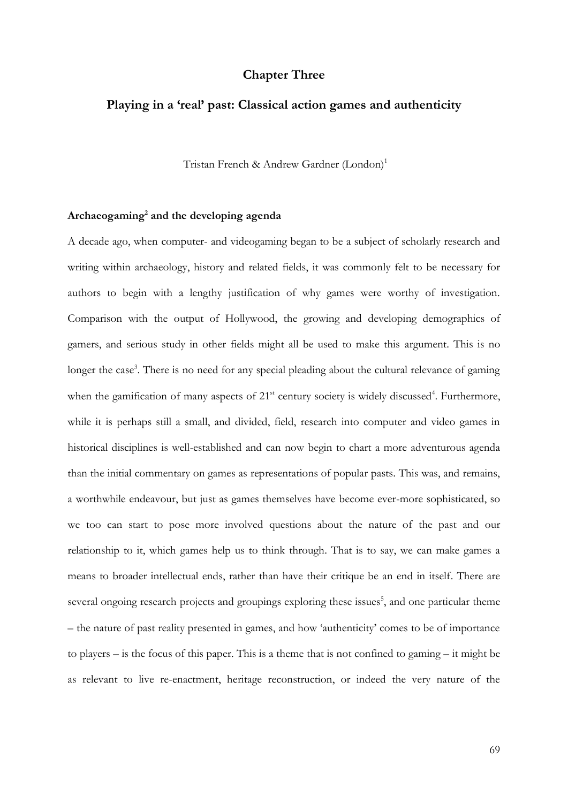# **Chapter Three**

# **Playing in a 'real' past: Classical action games and authenticity**

Tristan French & Andrew Gardner (London)<sup>1</sup>

## **Archaeogaming<sup>2</sup> and the developing agenda**

A decade ago, when computer- and videogaming began to be a subject of scholarly research and writing within archaeology, history and related fields, it was commonly felt to be necessary for authors to begin with a lengthy justification of why games were worthy of investigation. Comparison with the output of Hollywood, the growing and developing demographics of gamers, and serious study in other fields might all be used to make this argument. This is no longer the case<sup>3</sup>. There is no need for any special pleading about the cultural relevance of gaming when the gamification of many aspects of 21<sup>st</sup> century society is widely discussed<sup>4</sup>. Furthermore, while it is perhaps still a small, and divided, field, research into computer and video games in historical disciplines is well-established and can now begin to chart a more adventurous agenda than the initial commentary on games as representations of popular pasts. This was, and remains, a worthwhile endeavour, but just as games themselves have become ever-more sophisticated, so we too can start to pose more involved questions about the nature of the past and our relationship to it, which games help us to think through. That is to say, we can make games a means to broader intellectual ends, rather than have their critique be an end in itself. There are several ongoing research projects and groupings exploring these issues<sup>5</sup>, and one particular theme – the nature of past reality presented in games, and how 'authenticity' comes to be of importance to players – is the focus of this paper. This is a theme that is not confined to gaming – it might be as relevant to live re-enactment, heritage reconstruction, or indeed the very nature of the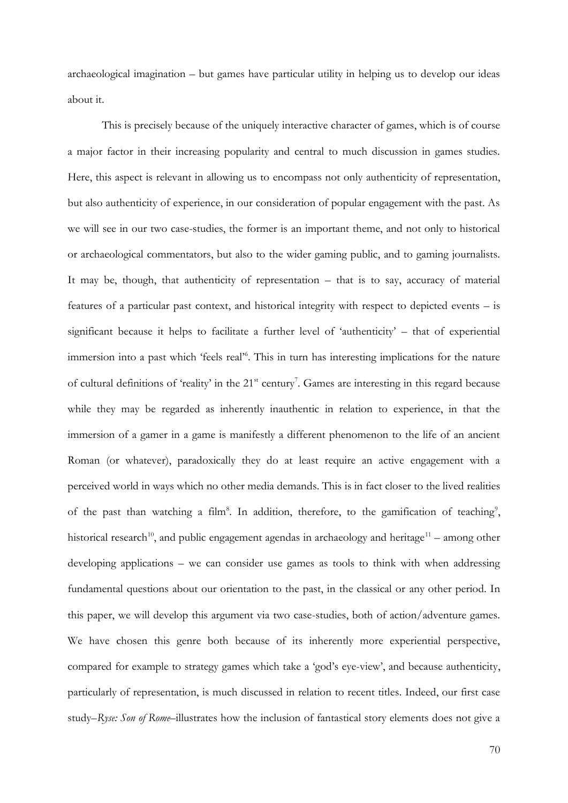archaeological imagination – but games have particular utility in helping us to develop our ideas about it.

This is precisely because of the uniquely interactive character of games, which is of course a major factor in their increasing popularity and central to much discussion in games studies. Here, this aspect is relevant in allowing us to encompass not only authenticity of representation, but also authenticity of experience, in our consideration of popular engagement with the past. As we will see in our two case-studies, the former is an important theme, and not only to historical or archaeological commentators, but also to the wider gaming public, and to gaming journalists. It may be, though, that authenticity of representation – that is to say, accuracy of material features of a particular past context, and historical integrity with respect to depicted events – is significant because it helps to facilitate a further level of 'authenticity' – that of experiential immersion into a past which 'feels real'<sup>6</sup>. This in turn has interesting implications for the nature of cultural definitions of 'reality' in the 21<sup>st</sup> century<sup>7</sup>. Games are interesting in this regard because while they may be regarded as inherently inauthentic in relation to experience, in that the immersion of a gamer in a game is manifestly a different phenomenon to the life of an ancient Roman (or whatever), paradoxically they do at least require an active engagement with a perceived world in ways which no other media demands. This is in fact closer to the lived realities of the past than watching a film<sup>8</sup>. In addition, therefore, to the gamification of teaching<sup>9</sup>, historical research<sup>10</sup>, and public engagement agendas in archaeology and heritage<sup>11</sup> – among other developing applications – we can consider use games as tools to think with when addressing fundamental questions about our orientation to the past, in the classical or any other period. In this paper, we will develop this argument via two case-studies, both of action/adventure games. We have chosen this genre both because of its inherently more experiential perspective, compared for example to strategy games which take a 'god's eye-view', and because authenticity, particularly of representation, is much discussed in relation to recent titles. Indeed, our first case study–*Ryse: Son of Rome*–illustrates how the inclusion of fantastical story elements does not give a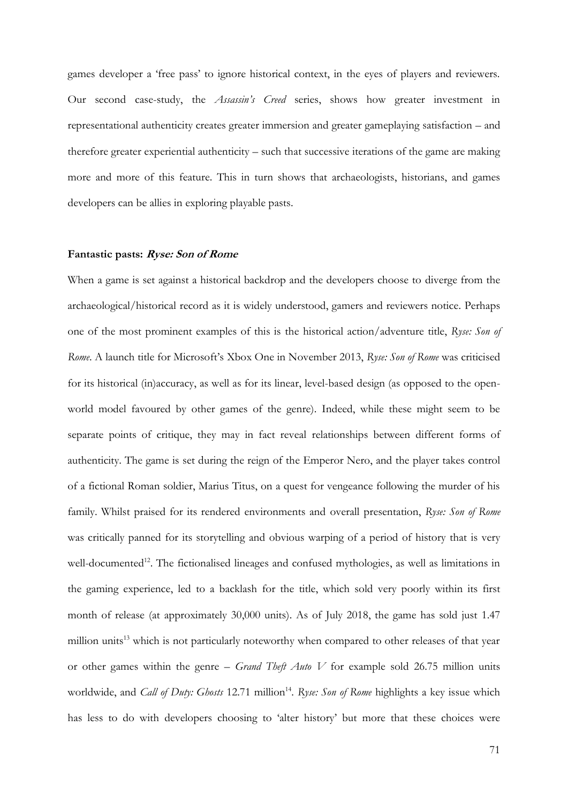games developer a 'free pass' to ignore historical context, in the eyes of players and reviewers. Our second case-study, the *Assassin's Creed* series, shows how greater investment in representational authenticity creates greater immersion and greater gameplaying satisfaction – and therefore greater experiential authenticity – such that successive iterations of the game are making more and more of this feature. This in turn shows that archaeologists, historians, and games developers can be allies in exploring playable pasts.

#### **Fantastic pasts: Ryse: Son of Rome**

When a game is set against a historical backdrop and the developers choose to diverge from the archaeological/historical record as it is widely understood, gamers and reviewers notice. Perhaps one of the most prominent examples of this is the historical action/adventure title, *Ryse: Son of Rome*. A launch title for Microsoft's Xbox One in November 2013, *Ryse: Son of Rome* was criticised for its historical (in)accuracy, as well as for its linear, level-based design (as opposed to the openworld model favoured by other games of the genre). Indeed, while these might seem to be separate points of critique, they may in fact reveal relationships between different forms of authenticity. The game is set during the reign of the Emperor Nero, and the player takes control of a fictional Roman soldier, Marius Titus, on a quest for vengeance following the murder of his family. Whilst praised for its rendered environments and overall presentation, *Ryse: Son of Rome* was critically panned for its storytelling and obvious warping of a period of history that is very well-documented<sup>12</sup>. The fictionalised lineages and confused mythologies, as well as limitations in the gaming experience, led to a backlash for the title, which sold very poorly within its first month of release (at approximately 30,000 units). As of July 2018, the game has sold just 1.47 million units<sup>13</sup> which is not particularly noteworthy when compared to other releases of that year or other games within the genre – *Grand Theft Auto V* for example sold 26.75 million units worldwide, and *Call of Duty: Ghosts* 12.71 million<sup>14</sup>. Ryse: Son of Rome highlights a key issue which has less to do with developers choosing to 'alter history' but more that these choices were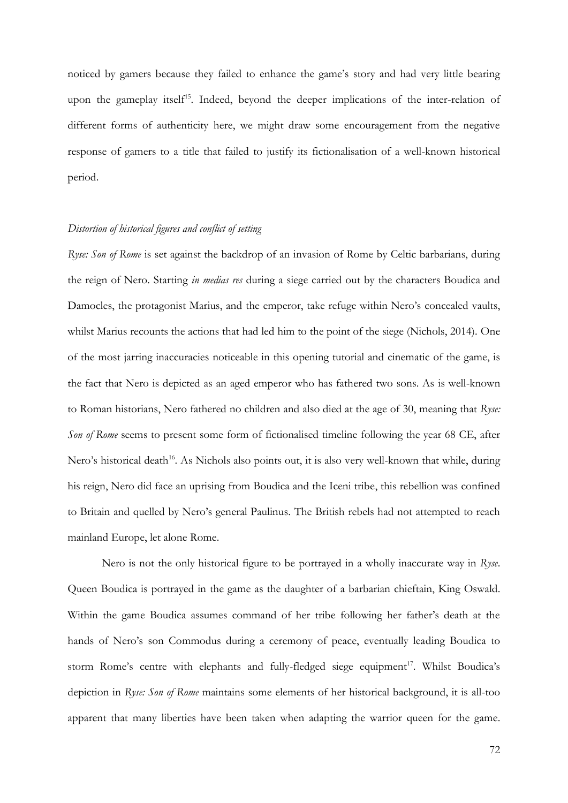noticed by gamers because they failed to enhance the game's story and had very little bearing upon the gameplay itself<sup>15</sup>. Indeed, beyond the deeper implications of the inter-relation of different forms of authenticity here, we might draw some encouragement from the negative response of gamers to a title that failed to justify its fictionalisation of a well-known historical period.

### *Distortion of historical figures and conflict of setting*

*Ryse: Son of Rome* is set against the backdrop of an invasion of Rome by Celtic barbarians, during the reign of Nero. Starting *in medias res* during a siege carried out by the characters Boudica and Damocles, the protagonist Marius, and the emperor, take refuge within Nero's concealed vaults, whilst Marius recounts the actions that had led him to the point of the siege (Nichols, 2014). One of the most jarring inaccuracies noticeable in this opening tutorial and cinematic of the game, is the fact that Nero is depicted as an aged emperor who has fathered two sons. As is well-known to Roman historians, Nero fathered no children and also died at the age of 30, meaning that *Ryse: Son of Rome* seems to present some form of fictionalised timeline following the year 68 CE, after Nero's historical death<sup>16</sup>. As Nichols also points out, it is also very well-known that while, during his reign, Nero did face an uprising from Boudica and the Iceni tribe, this rebellion was confined to Britain and quelled by Nero's general Paulinus. The British rebels had not attempted to reach mainland Europe, let alone Rome.

Nero is not the only historical figure to be portrayed in a wholly inaccurate way in *Ryse*. Queen Boudica is portrayed in the game as the daughter of a barbarian chieftain, King Oswald. Within the game Boudica assumes command of her tribe following her father's death at the hands of Nero's son Commodus during a ceremony of peace, eventually leading Boudica to storm Rome's centre with elephants and fully-fledged siege equipment<sup>17</sup>. Whilst Boudica's depiction in *Ryse: Son of Rome* maintains some elements of her historical background, it is all-too apparent that many liberties have been taken when adapting the warrior queen for the game.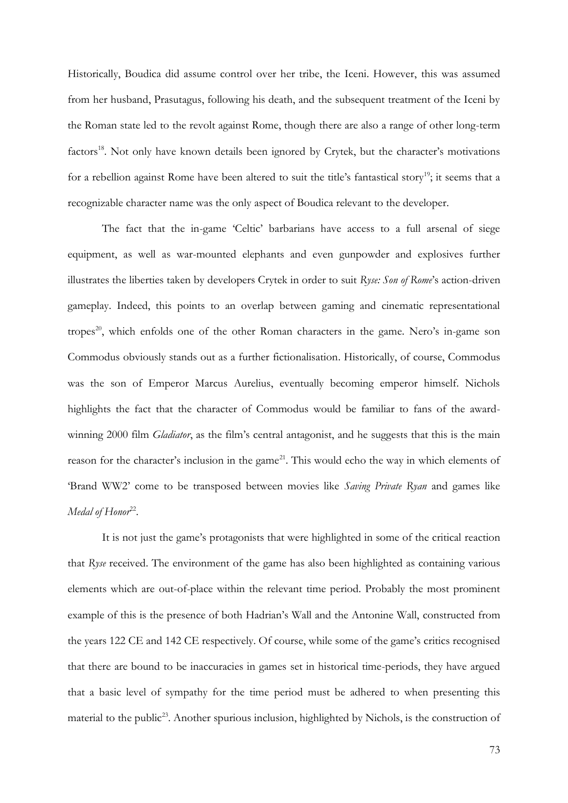Historically, Boudica did assume control over her tribe, the Iceni. However, this was assumed from her husband, Prasutagus, following his death, and the subsequent treatment of the Iceni by the Roman state led to the revolt against Rome, though there are also a range of other long-term factors<sup>18</sup>. Not only have known details been ignored by Crytek, but the character's motivations for a rebellion against Rome have been altered to suit the title's fantastical story<sup>19</sup>; it seems that a recognizable character name was the only aspect of Boudica relevant to the developer.

The fact that the in-game 'Celtic' barbarians have access to a full arsenal of siege equipment, as well as war-mounted elephants and even gunpowder and explosives further illustrates the liberties taken by developers Crytek in order to suit *Ryse: Son of Rome*'s action-driven gameplay. Indeed, this points to an overlap between gaming and cinematic representational tropes<sup>20</sup>, which enfolds one of the other Roman characters in the game. Nero's in-game son Commodus obviously stands out as a further fictionalisation. Historically, of course, Commodus was the son of Emperor Marcus Aurelius, eventually becoming emperor himself. Nichols highlights the fact that the character of Commodus would be familiar to fans of the awardwinning 2000 film *Gladiator*, as the film's central antagonist, and he suggests that this is the main reason for the character's inclusion in the game<sup>21</sup>. This would echo the way in which elements of 'Brand WW2' come to be transposed between movies like *Saving Private Ryan* and games like Medal of Honor<sup>22</sup>.

It is not just the game's protagonists that were highlighted in some of the critical reaction that *Ryse* received. The environment of the game has also been highlighted as containing various elements which are out-of-place within the relevant time period. Probably the most prominent example of this is the presence of both Hadrian's Wall and the Antonine Wall, constructed from the years 122 CE and 142 CE respectively. Of course, while some of the game's critics recognised that there are bound to be inaccuracies in games set in historical time-periods, they have argued that a basic level of sympathy for the time period must be adhered to when presenting this material to the public<sup>23</sup>. Another spurious inclusion, highlighted by Nichols, is the construction of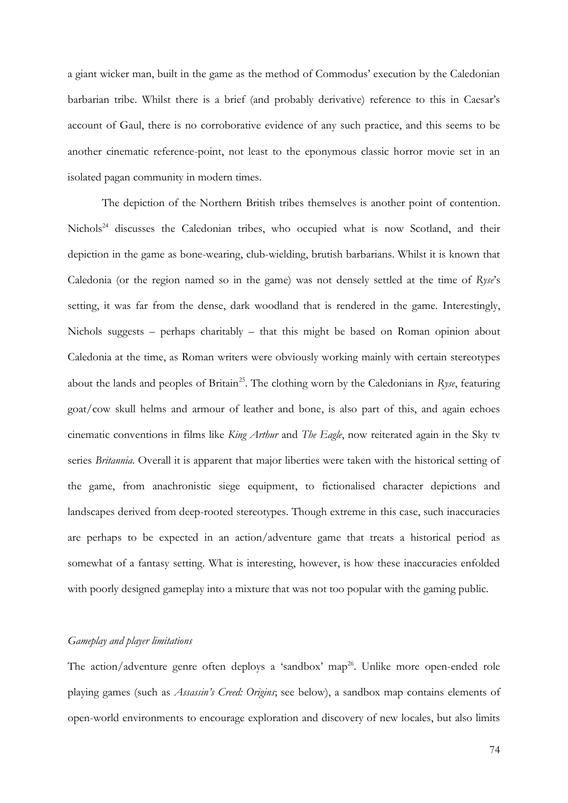a giant wicker man, built in the game as the method of Commodus' execution by the Caledonian barbarian tribe. Whilst there is a brief (and probably derivative) reference to this in Caesar's account of Gaul, there is no corroborative evidence of any such practice, and this seems to be another cinematic reference-point, not least to the eponymous classic horror movie set in an isolated pagan community in modern times.

The depiction of the Northern British tribes themselves is another point of contention. Nichols<sup>24</sup> discusses the Caledonian tribes, who occupied what is now Scotland, and their depiction in the game as bone-wearing, club-wielding, brutish barbarians. Whilst it is known that Caledonia (or the region named so in the game) was not densely settled at the time of *Ryse*'s setting, it was far from the dense, dark woodland that is rendered in the game. Interestingly, Nichols suggests – perhaps charitably – that this might be based on Roman opinion about Caledonia at the time, as Roman writers were obviously working mainly with certain stereotypes about the lands and peoples of Britain<sup>25</sup>. The clothing worn by the Caledonians in Ryse, featuring goat/cow skull helms and armour of leather and bone, is also part of this, and again echoes cinematic conventions in films like *King Arthur* and *The Eagle*, now reiterated again in the Sky tv series *Britannia*. Overall it is apparent that major liberties were taken with the historical setting of the game, from anachronistic siege equipment, to fictionalised character depictions and landscapes derived from deep-rooted stereotypes. Though extreme in this case, such inaccuracies are perhaps to be expected in an action/adventure game that treats a historical period as somewhat of a fantasy setting. What is interesting, however, is how these inaccuracies enfolded with poorly designed gameplay into a mixture that was not too popular with the gaming public.

### *Gameplay and player limitations*

The action/adventure genre often deploys a 'sandbox' map<sup>26</sup>. Unlike more open-ended role playing games (such as *Assassin's Creed: Origins*; see below), a sandbox map contains elements of open-world environments to encourage exploration and discovery of new locales, but also limits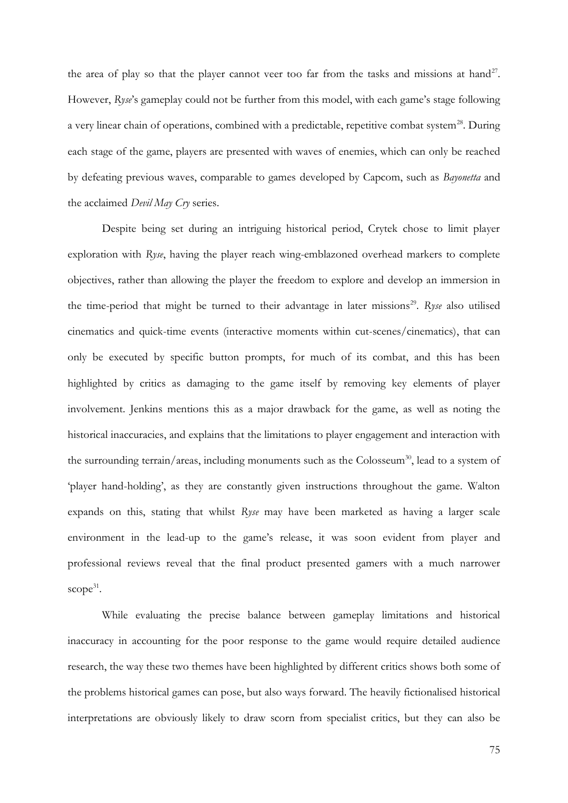the area of play so that the player cannot veer too far from the tasks and missions at hand<sup>27</sup>. However, *Ryse*'s gameplay could not be further from this model, with each game's stage following a very linear chain of operations, combined with a predictable, repetitive combat system<sup>28</sup>. During each stage of the game, players are presented with waves of enemies, which can only be reached by defeating previous waves, comparable to games developed by Capcom, such as *Bayonetta* and the acclaimed *Devil May Cry* series.

Despite being set during an intriguing historical period, Crytek chose to limit player exploration with *Ryse*, having the player reach wing-emblazoned overhead markers to complete objectives, rather than allowing the player the freedom to explore and develop an immersion in the time-period that might be turned to their advantage in later missions<sup>29</sup>. Ryse also utilised cinematics and quick-time events (interactive moments within cut-scenes/cinematics), that can only be executed by specific button prompts, for much of its combat, and this has been highlighted by critics as damaging to the game itself by removing key elements of player involvement. Jenkins mentions this as a major drawback for the game, as well as noting the historical inaccuracies, and explains that the limitations to player engagement and interaction with the surrounding terrain/areas, including monuments such as the Colosseum<sup>30</sup>, lead to a system of 'player hand-holding', as they are constantly given instructions throughout the game. Walton expands on this, stating that whilst *Ryse* may have been marketed as having a larger scale environment in the lead-up to the game's release, it was soon evident from player and professional reviews reveal that the final product presented gamers with a much narrower scope<sup>31</sup>.

While evaluating the precise balance between gameplay limitations and historical inaccuracy in accounting for the poor response to the game would require detailed audience research, the way these two themes have been highlighted by different critics shows both some of the problems historical games can pose, but also ways forward. The heavily fictionalised historical interpretations are obviously likely to draw scorn from specialist critics, but they can also be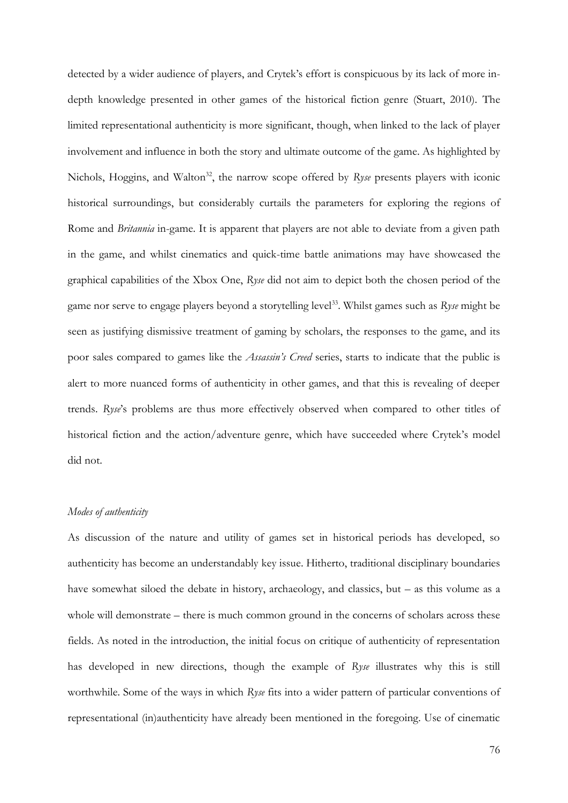detected by a wider audience of players, and Crytek's effort is conspicuous by its lack of more indepth knowledge presented in other games of the historical fiction genre (Stuart, 2010). The limited representational authenticity is more significant, though, when linked to the lack of player involvement and influence in both the story and ultimate outcome of the game. As highlighted by Nichols, Hoggins, and Walton<sup>32</sup>, the narrow scope offered by *Ryse* presents players with iconic historical surroundings, but considerably curtails the parameters for exploring the regions of Rome and *Britannia* in-game. It is apparent that players are not able to deviate from a given path in the game, and whilst cinematics and quick-time battle animations may have showcased the graphical capabilities of the Xbox One, *Ryse* did not aim to depict both the chosen period of the game nor serve to engage players beyond a storytelling level<sup>33</sup>. Whilst games such as *Ryse* might be seen as justifying dismissive treatment of gaming by scholars, the responses to the game, and its poor sales compared to games like the *Assassin's Creed* series, starts to indicate that the public is alert to more nuanced forms of authenticity in other games, and that this is revealing of deeper trends. *Ryse*'s problems are thus more effectively observed when compared to other titles of historical fiction and the action/adventure genre, which have succeeded where Crytek's model did not.

### *Modes of authenticity*

As discussion of the nature and utility of games set in historical periods has developed, so authenticity has become an understandably key issue. Hitherto, traditional disciplinary boundaries have somewhat siloed the debate in history, archaeology, and classics, but – as this volume as a whole will demonstrate – there is much common ground in the concerns of scholars across these fields. As noted in the introduction, the initial focus on critique of authenticity of representation has developed in new directions, though the example of *Ryse* illustrates why this is still worthwhile. Some of the ways in which *Ryse* fits into a wider pattern of particular conventions of representational (in)authenticity have already been mentioned in the foregoing. Use of cinematic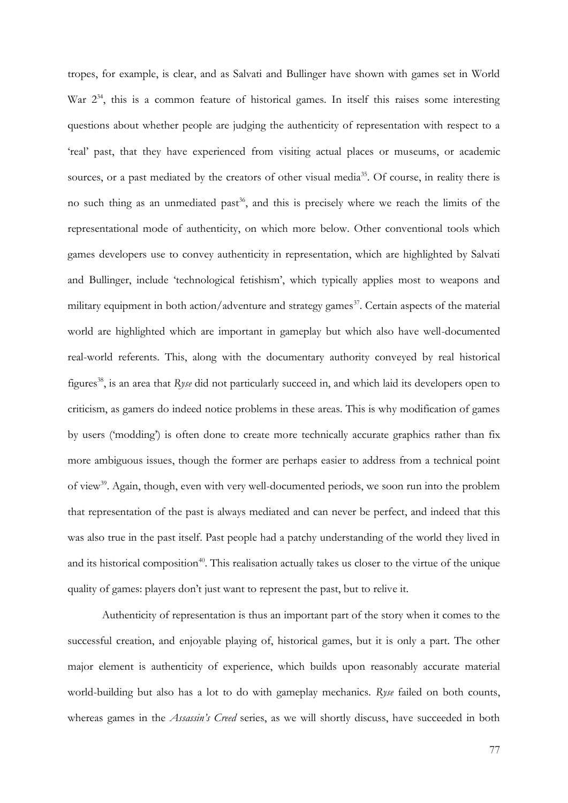tropes, for example, is clear, and as Salvati and Bullinger have shown with games set in World War  $2^{34}$ , this is a common feature of historical games. In itself this raises some interesting questions about whether people are judging the authenticity of representation with respect to a 'real' past, that they have experienced from visiting actual places or museums, or academic sources, or a past mediated by the creators of other visual media<sup>35</sup>. Of course, in reality there is no such thing as an unmediated past<sup>36</sup>, and this is precisely where we reach the limits of the representational mode of authenticity, on which more below. Other conventional tools which games developers use to convey authenticity in representation, which are highlighted by Salvati and Bullinger, include 'technological fetishism', which typically applies most to weapons and military equipment in both action/adventure and strategy games<sup>37</sup>. Certain aspects of the material world are highlighted which are important in gameplay but which also have well-documented real-world referents. This, along with the documentary authority conveyed by real historical figures<sup>38</sup>, is an area that *Ryse* did not particularly succeed in, and which laid its developers open to criticism, as gamers do indeed notice problems in these areas. This is why modification of games by users ('modding') is often done to create more technically accurate graphics rather than fix more ambiguous issues, though the former are perhaps easier to address from a technical point of view<sup>39</sup>. Again, though, even with very well-documented periods, we soon run into the problem that representation of the past is always mediated and can never be perfect, and indeed that this was also true in the past itself. Past people had a patchy understanding of the world they lived in and its historical composition<sup>40</sup>. This realisation actually takes us closer to the virtue of the unique quality of games: players don't just want to represent the past, but to relive it.

Authenticity of representation is thus an important part of the story when it comes to the successful creation, and enjoyable playing of, historical games, but it is only a part. The other major element is authenticity of experience, which builds upon reasonably accurate material world-building but also has a lot to do with gameplay mechanics. *Ryse* failed on both counts, whereas games in the *Assassin's Creed* series, as we will shortly discuss, have succeeded in both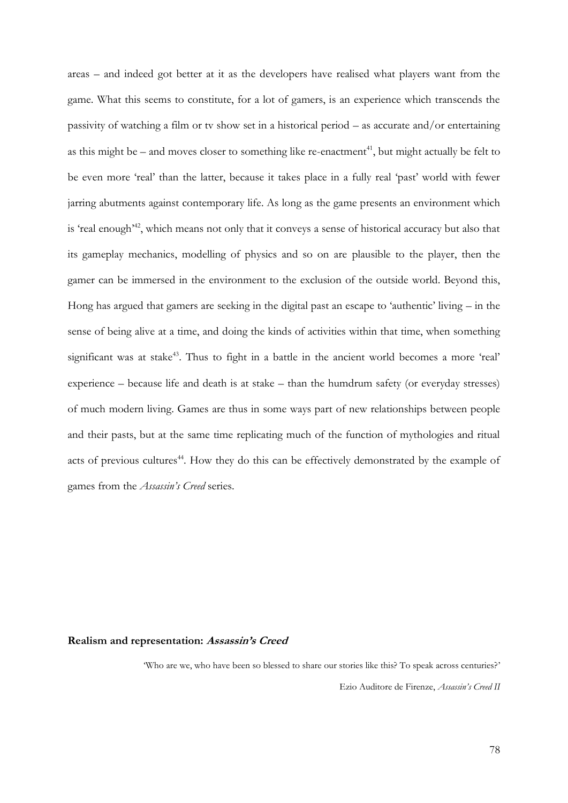areas – and indeed got better at it as the developers have realised what players want from the game. What this seems to constitute, for a lot of gamers, is an experience which transcends the passivity of watching a film or tv show set in a historical period – as accurate and/or entertaining as this might be – and moves closer to something like re-enactment<sup>41</sup>, but might actually be felt to be even more 'real' than the latter, because it takes place in a fully real 'past' world with fewer jarring abutments against contemporary life. As long as the game presents an environment which is 'real enough<sup>'42</sup>, which means not only that it conveys a sense of historical accuracy but also that its gameplay mechanics, modelling of physics and so on are plausible to the player, then the gamer can be immersed in the environment to the exclusion of the outside world. Beyond this, Hong has argued that gamers are seeking in the digital past an escape to 'authentic' living – in the sense of being alive at a time, and doing the kinds of activities within that time, when something significant was at stake<sup>43</sup>. Thus to fight in a battle in the ancient world becomes a more 'real' experience – because life and death is at stake – than the humdrum safety (or everyday stresses) of much modern living. Games are thus in some ways part of new relationships between people and their pasts, but at the same time replicating much of the function of mythologies and ritual acts of previous cultures<sup>44</sup>. How they do this can be effectively demonstrated by the example of games from the *Assassin's Creed* series.

### **Realism and representation: Assassin's Creed**

'Who are we, who have been so blessed to share our stories like this? To speak across centuries?' Ezio Auditore de Firenze, *Assassin's Creed II*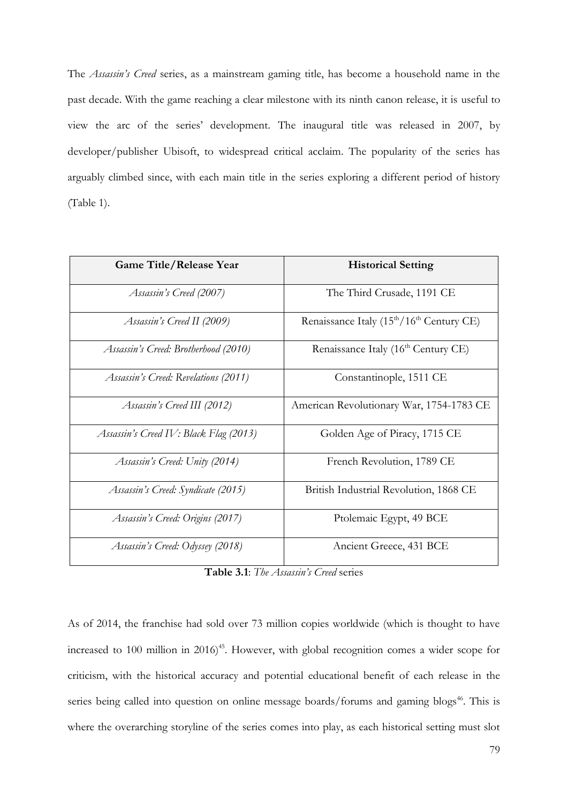The *Assassin's Creed* series, as a mainstream gaming title, has become a household name in the past decade. With the game reaching a clear milestone with its ninth canon release, it is useful to view the arc of the series' development. The inaugural title was released in 2007, by developer/publisher Ubisoft, to widespread critical acclaim. The popularity of the series has arguably climbed since, with each main title in the series exploring a different period of history (Table 1).

| <b>Game Title/Release Year</b>         | <b>Historical Setting</b>                                         |
|----------------------------------------|-------------------------------------------------------------------|
| Assassin's Creed (2007)                | The Third Crusade, 1191 CE                                        |
| Assassin's Creed II (2009)             | Renaissance Italy (15 <sup>th</sup> /16 <sup>th</sup> Century CE) |
| Assassin's Creed: Brotherhood (2010)   | Renaissance Italy (16 <sup>th</sup> Century CE)                   |
| Assassin's Creed: Revelations (2011)   | Constantinople, 1511 CE                                           |
| Assassin's Creed III (2012)            | American Revolutionary War, 1754-1783 CE                          |
| Assassin's Creed IV: Black Flag (2013) | Golden Age of Piracy, 1715 CE                                     |
| Assassin's Creed: Unity (2014)         | French Revolution, 1789 CE                                        |
| Assassin's Creed: Syndicate (2015)     | British Industrial Revolution, 1868 CE                            |
| Assassin's Creed: Origins (2017)       | Ptolemaic Egypt, 49 BCE                                           |
| Assassin's Creed: Odyssey (2018)       | Ancient Greece, 431 BCE                                           |

**Table 3.1**: *The Assassin's Creed* series

As of 2014, the franchise had sold over 73 million copies worldwide (which is thought to have increased to 100 million in  $2016)^{45}$ . However, with global recognition comes a wider scope for criticism, with the historical accuracy and potential educational benefit of each release in the series being called into question on online message boards/forums and gaming blogs<sup>46</sup>. This is where the overarching storyline of the series comes into play, as each historical setting must slot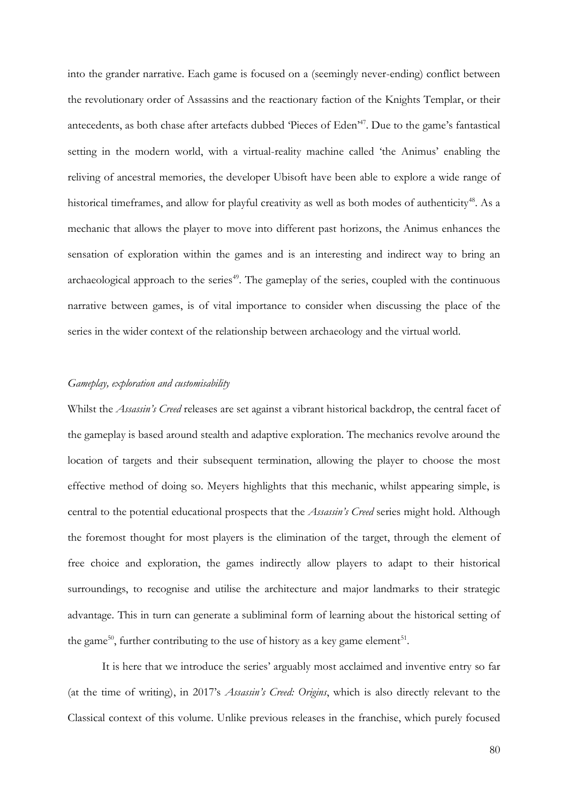into the grander narrative. Each game is focused on a (seemingly never-ending) conflict between the revolutionary order of Assassins and the reactionary faction of the Knights Templar, or their antecedents, as both chase after artefacts dubbed 'Pieces of Eden<sup>47</sup>. Due to the game's fantastical setting in the modern world, with a virtual-reality machine called 'the Animus' enabling the reliving of ancestral memories, the developer Ubisoft have been able to explore a wide range of historical timeframes, and allow for playful creativity as well as both modes of authenticity<sup>48</sup>. As a mechanic that allows the player to move into different past horizons, the Animus enhances the sensation of exploration within the games and is an interesting and indirect way to bring an archaeological approach to the series<sup> $49$ </sup>. The gameplay of the series, coupled with the continuous narrative between games, is of vital importance to consider when discussing the place of the series in the wider context of the relationship between archaeology and the virtual world.

### *Gameplay, exploration and customisability*

Whilst the *Assassin's Creed* releases are set against a vibrant historical backdrop, the central facet of the gameplay is based around stealth and adaptive exploration. The mechanics revolve around the location of targets and their subsequent termination, allowing the player to choose the most effective method of doing so. Meyers highlights that this mechanic, whilst appearing simple, is central to the potential educational prospects that the *Assassin's Creed* series might hold. Although the foremost thought for most players is the elimination of the target, through the element of free choice and exploration, the games indirectly allow players to adapt to their historical surroundings, to recognise and utilise the architecture and major landmarks to their strategic advantage. This in turn can generate a subliminal form of learning about the historical setting of the game<sup>50</sup>, further contributing to the use of history as a key game element<sup>51</sup>.

It is here that we introduce the series' arguably most acclaimed and inventive entry so far (at the time of writing), in 2017's *Assassin's Creed: Origins*, which is also directly relevant to the Classical context of this volume. Unlike previous releases in the franchise, which purely focused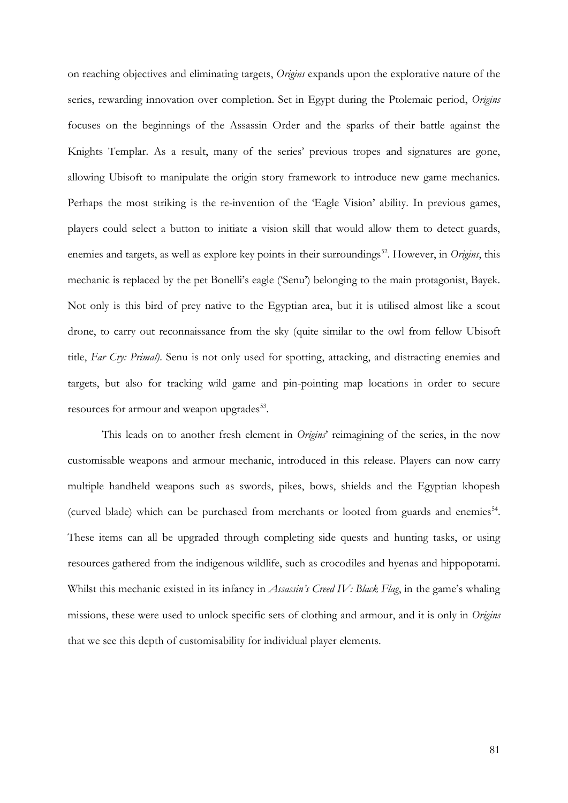on reaching objectives and eliminating targets, *Origins* expands upon the explorative nature of the series, rewarding innovation over completion. Set in Egypt during the Ptolemaic period, *Origins* focuses on the beginnings of the Assassin Order and the sparks of their battle against the Knights Templar. As a result, many of the series' previous tropes and signatures are gone, allowing Ubisoft to manipulate the origin story framework to introduce new game mechanics. Perhaps the most striking is the re-invention of the 'Eagle Vision' ability. In previous games, players could select a button to initiate a vision skill that would allow them to detect guards, enemies and targets, as well as explore key points in their surroundings<sup>52</sup>. However, in *Origins*, this mechanic is replaced by the pet Bonelli's eagle ('Senu') belonging to the main protagonist, Bayek. Not only is this bird of prey native to the Egyptian area, but it is utilised almost like a scout drone, to carry out reconnaissance from the sky (quite similar to the owl from fellow Ubisoft title, *Far Cry: Primal)*. Senu is not only used for spotting, attacking, and distracting enemies and targets, but also for tracking wild game and pin-pointing map locations in order to secure resources for armour and weapon upgrades<sup>53</sup>.

This leads on to another fresh element in *Origins*' reimagining of the series, in the now customisable weapons and armour mechanic, introduced in this release. Players can now carry multiple handheld weapons such as swords, pikes, bows, shields and the Egyptian khopesh (curved blade) which can be purchased from merchants or looted from guards and enemies<sup>54</sup>. These items can all be upgraded through completing side quests and hunting tasks, or using resources gathered from the indigenous wildlife, such as crocodiles and hyenas and hippopotami. Whilst this mechanic existed in its infancy in *Assassin's Creed IV: Black Flag*, in the game's whaling missions, these were used to unlock specific sets of clothing and armour, and it is only in *Origins* that we see this depth of customisability for individual player elements.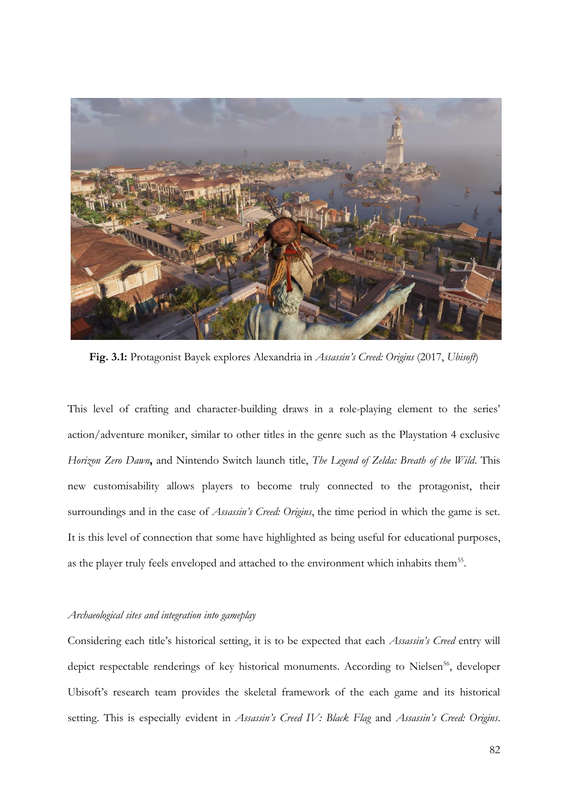

**Fig. 3.1:** Protagonist Bayek explores Alexandria in *Assassin's Creed: Origins* (2017, *Ubisoft*)

This level of crafting and character-building draws in a role-playing element to the series' action/adventure moniker, similar to other titles in the genre such as the Playstation 4 exclusive *Horizon Zero Dawn***,** and Nintendo Switch launch title, *The Legend of Zelda: Breath of the Wild*. This new customisability allows players to become truly connected to the protagonist, their surroundings and in the case of *Assassin's Creed: Origins*, the time period in which the game is set. It is this level of connection that some have highlighted as being useful for educational purposes, as the player truly feels enveloped and attached to the environment which inhabits them<sup>55</sup>.

#### *Archaeological sites and integration into gameplay*

Considering each title's historical setting, it is to be expected that each *Assassin's Creed* entry will depict respectable renderings of key historical monuments. According to Nielsen<sup>56</sup>, developer Ubisoft's research team provides the skeletal framework of the each game and its historical setting. This is especially evident in *Assassin's Creed IV: Black Flag* and *Assassin's Creed: Origins*.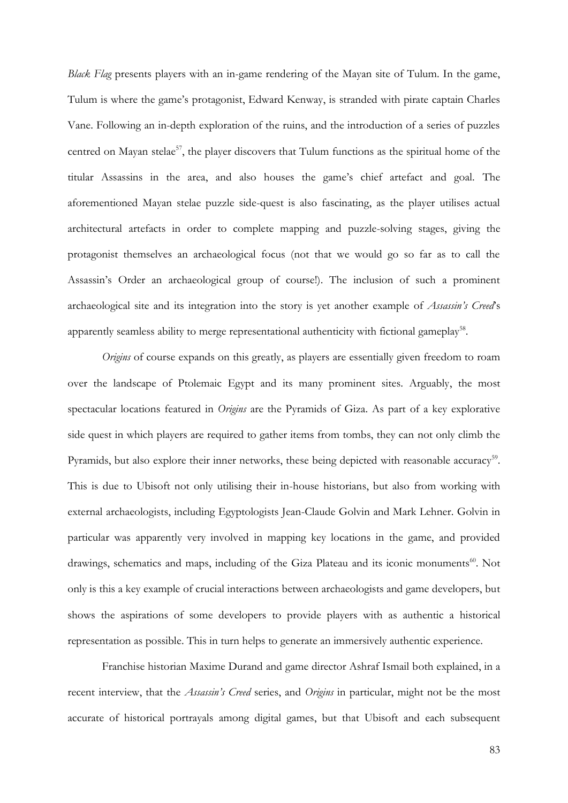*Black Flag* presents players with an in-game rendering of the Mayan site of Tulum. In the game, Tulum is where the game's protagonist, Edward Kenway, is stranded with pirate captain Charles Vane. Following an in-depth exploration of the ruins, and the introduction of a series of puzzles centred on Mayan stelae<sup>57</sup>, the player discovers that Tulum functions as the spiritual home of the titular Assassins in the area, and also houses the game's chief artefact and goal. The aforementioned Mayan stelae puzzle side-quest is also fascinating, as the player utilises actual architectural artefacts in order to complete mapping and puzzle-solving stages, giving the protagonist themselves an archaeological focus (not that we would go so far as to call the Assassin's Order an archaeological group of course!). The inclusion of such a prominent archaeological site and its integration into the story is yet another example of *Assassin's Creed*'s apparently seamless ability to merge representational authenticity with fictional gameplay<sup>58</sup>.

*Origins* of course expands on this greatly, as players are essentially given freedom to roam over the landscape of Ptolemaic Egypt and its many prominent sites. Arguably, the most spectacular locations featured in *Origins* are the Pyramids of Giza. As part of a key explorative side quest in which players are required to gather items from tombs, they can not only climb the Pyramids, but also explore their inner networks, these being depicted with reasonable accuracy<sup>59</sup>. This is due to Ubisoft not only utilising their in-house historians, but also from working with external archaeologists, including Egyptologists Jean-Claude Golvin and Mark Lehner. Golvin in particular was apparently very involved in mapping key locations in the game, and provided drawings, schematics and maps, including of the Giza Plateau and its iconic monuments<sup>60</sup>. Not only is this a key example of crucial interactions between archaeologists and game developers, but shows the aspirations of some developers to provide players with as authentic a historical representation as possible. This in turn helps to generate an immersively authentic experience.

Franchise historian Maxime Durand and game director Ashraf Ismail both explained, in a recent interview, that the *Assassin's Creed* series, and *Origins* in particular, might not be the most accurate of historical portrayals among digital games, but that Ubisoft and each subsequent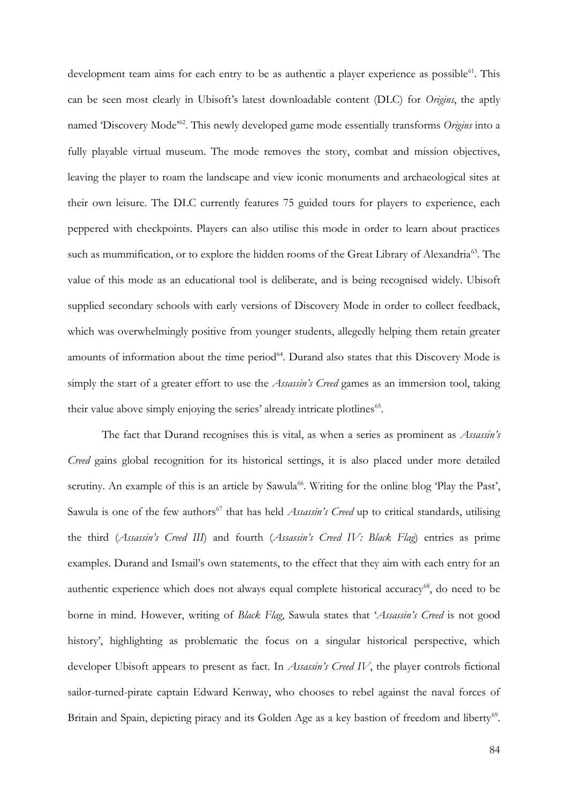development team aims for each entry to be as authentic a player experience as possible<sup>61</sup>. This can be seen most clearly in Ubisoft's latest downloadable content (DLC) for *Origins*, the aptly named 'Discovery Mode'<sup>62</sup>. This newly developed game mode essentially transforms Origins into a fully playable virtual museum. The mode removes the story, combat and mission objectives, leaving the player to roam the landscape and view iconic monuments and archaeological sites at their own leisure. The DLC currently features 75 guided tours for players to experience, each peppered with checkpoints. Players can also utilise this mode in order to learn about practices such as mummification, or to explore the hidden rooms of the Great Library of Alexandria<sup>63</sup>. The value of this mode as an educational tool is deliberate, and is being recognised widely. Ubisoft supplied secondary schools with early versions of Discovery Mode in order to collect feedback, which was overwhelmingly positive from younger students, allegedly helping them retain greater amounts of information about the time period<sup>64</sup>. Durand also states that this Discovery Mode is simply the start of a greater effort to use the *Assassin's Creed* games as an immersion tool, taking their value above simply enjoying the series' already intricate plotlines<sup>65</sup>.

The fact that Durand recognises this is vital, as when a series as prominent as *Assassin's Creed* gains global recognition for its historical settings, it is also placed under more detailed scrutiny. An example of this is an article by Sawula<sup>66</sup>. Writing for the online blog 'Play the Past', Sawula is one of the few authors<sup>67</sup> that has held *Assassin's Creed* up to critical standards, utilising the third (*Assassin's Creed III*) and fourth (*Assassin's Creed IV: Black Flag*) entries as prime examples. Durand and Ismail's own statements, to the effect that they aim with each entry for an authentic experience which does not always equal complete historical accuracy<sup>68</sup>, do need to be borne in mind. However, writing of *Black Flag*, Sawula states that '*Assassin's Creed* is not good history', highlighting as problematic the focus on a singular historical perspective, which developer Ubisoft appears to present as fact. In *Assassin's Creed IV*, the player controls fictional sailor-turned-pirate captain Edward Kenway, who chooses to rebel against the naval forces of Britain and Spain, depicting piracy and its Golden Age as a key bastion of freedom and liberty<sup>69</sup>.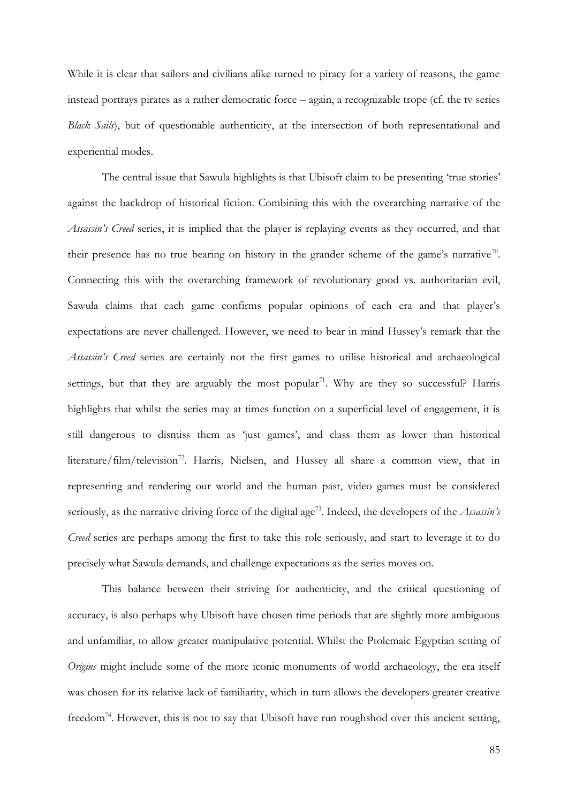While it is clear that sailors and civilians alike turned to piracy for a variety of reasons, the game instead portrays pirates as a rather democratic force – again, a recognizable trope (cf. the tv series *Black Sails*), but of questionable authenticity, at the intersection of both representational and experiential modes.

The central issue that Sawula highlights is that Ubisoft claim to be presenting 'true stories' against the backdrop of historical fiction. Combining this with the overarching narrative of the *Assassin's Creed* series, it is implied that the player is replaying events as they occurred, and that their presence has no true bearing on history in the grander scheme of the game's narrative<sup>70</sup>. Connecting this with the overarching framework of revolutionary good vs. authoritarian evil, Sawula claims that each game confirms popular opinions of each era and that player's expectations are never challenged. However, we need to bear in mind Hussey's remark that the *Assassin's Creed* series are certainly not the first games to utilise historical and archaeological settings, but that they are arguably the most popular<sup>71</sup>. Why are they so successful? Harris highlights that whilst the series may at times function on a superficial level of engagement, it is still dangerous to dismiss them as 'just games', and class them as lower than historical literature/film/television<sup>72</sup>. Harris, Nielsen, and Hussey all share a common view, that in representing and rendering our world and the human past, video games must be considered seriously, as the narrative driving force of the digital age<sup>73</sup>. Indeed, the developers of the *Assassin's Creed* series are perhaps among the first to take this role seriously, and start to leverage it to do precisely what Sawula demands, and challenge expectations as the series moves on.

This balance between their striving for authenticity, and the critical questioning of accuracy, is also perhaps why Ubisoft have chosen time periods that are slightly more ambiguous and unfamiliar, to allow greater manipulative potential. Whilst the Ptolemaic Egyptian setting of *Origins* might include some of the more iconic monuments of world archaeology, the era itself was chosen for its relative lack of familiarity, which in turn allows the developers greater creative freedom<sup>74</sup>. However, this is not to say that Ubisoft have run roughshod over this ancient setting,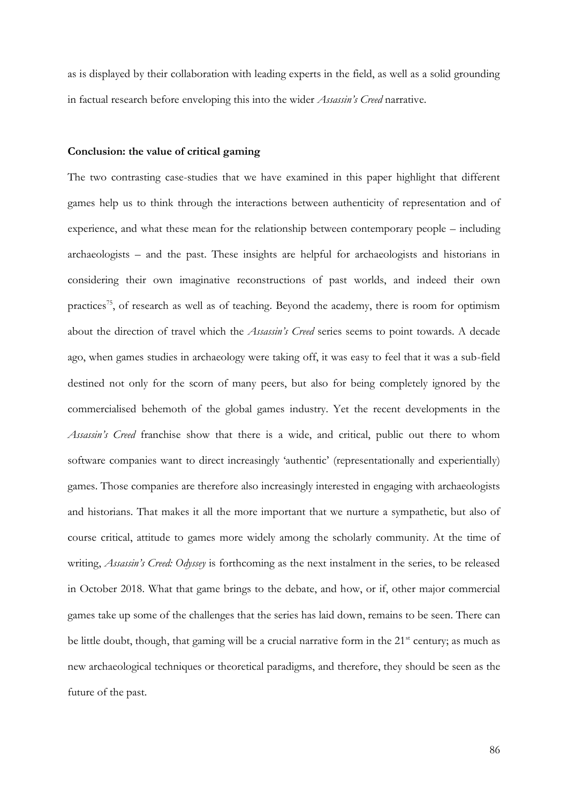as is displayed by their collaboration with leading experts in the field, as well as a solid grounding in factual research before enveloping this into the wider *Assassin's Creed* narrative.

#### **Conclusion: the value of critical gaming**

The two contrasting case-studies that we have examined in this paper highlight that different games help us to think through the interactions between authenticity of representation and of experience, and what these mean for the relationship between contemporary people – including archaeologists – and the past. These insights are helpful for archaeologists and historians in considering their own imaginative reconstructions of past worlds, and indeed their own practices<sup>75</sup>, of research as well as of teaching. Beyond the academy, there is room for optimism about the direction of travel which the *Assassin's Creed* series seems to point towards. A decade ago, when games studies in archaeology were taking off, it was easy to feel that it was a sub-field destined not only for the scorn of many peers, but also for being completely ignored by the commercialised behemoth of the global games industry. Yet the recent developments in the *Assassin's Creed* franchise show that there is a wide, and critical, public out there to whom software companies want to direct increasingly 'authentic' (representationally and experientially) games. Those companies are therefore also increasingly interested in engaging with archaeologists and historians. That makes it all the more important that we nurture a sympathetic, but also of course critical, attitude to games more widely among the scholarly community. At the time of writing, *Assassin's Creed: Odyssey* is forthcoming as the next instalment in the series, to be released in October 2018. What that game brings to the debate, and how, or if, other major commercial games take up some of the challenges that the series has laid down, remains to be seen. There can be little doubt, though, that gaming will be a crucial narrative form in the 21<sup>st</sup> century; as much as new archaeological techniques or theoretical paradigms, and therefore, they should be seen as the future of the past.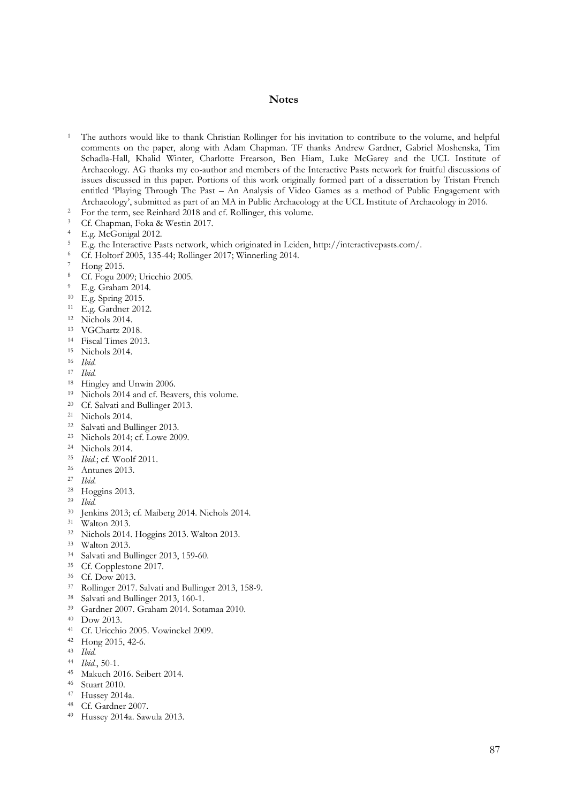#### **Notes**

- The authors would like to thank Christian Rollinger for his invitation to contribute to the volume, and helpful comments on the paper, along with Adam Chapman. TF thanks Andrew Gardner, Gabriel Moshenska, Tim Schadla-Hall, Khalid Winter, Charlotte Frearson, Ben Hiam, Luke McGarey and the UCL Institute of Archaeology. AG thanks my co-author and members of the Interactive Pasts network for fruitful discussions of issues discussed in this paper. Portions of this work originally formed part of a dissertation by Tristan French entitled 'Playing Through The Past – An Analysis of Video Games as a method of Public Engagement with Archaeology', submitted as part of an MA in Public Archaeology at the UCL Institute of Archaeology in 2016.
- <sup>2</sup> For the term, see Reinhard 2018 and cf. Rollinger, this volume.
- <sup>3</sup> Cf. Chapman, Foka & Westin 2017.
- E.g. McGonigal 2012.
- E.g. the Interactive Pasts network, which originated in Leiden, http://interactivepasts.com/.
- Cf. Holtorf 2005, 135-44; Rollinger 2017; Winnerling 2014.
- Hong 2015.
- <sup>8</sup> Cf. Fogu 2009; Uricchio 2005.
- E.g. Graham 2014.
- E.g. Spring 2015.
- E.g. Gardner 2012.
- Nichols 2014.
- VGChartz 2018.
- Fiscal Times 2013.
- Nichols 2014.
- *Ibid.*
- *Ibid.*
- Hingley and Unwin 2006.
- <sup>19</sup> Nichols 2014 and cf. Beavers, this volume.
- Cf. Salvati and Bullinger 2013.
- Nichols 2014.
- Salvati and Bullinger 2013.
- Nichols 2014; cf. Lowe 2009.
- Nichols 2014.
- *Ibid.*; cf. Woolf 2011.
- Antunes 2013.
- *Ibid.*
- Hoggins 2013.
- *Ibid.*
- Jenkins 2013; cf. Maiberg 2014. Nichols 2014.
- Walton 2013.
- Nichols 2014. Hoggins 2013. Walton 2013.
- Walton 2013.
- Salvati and Bullinger 2013, 159-60.
- Cf. Copplestone 2017.
- Cf. Dow 2013.
- Rollinger 2017. Salvati and Bullinger 2013, 158-9.
- Salvati and Bullinger 2013, 160-1.
- Gardner 2007. Graham 2014. Sotamaa 2010.
- Dow 2013.
- Cf. Uricchio 2005. Vowinckel 2009.
- Hong 2015, 42-6.
- *Ibid.*
- *Ibid.*, 50-1.
- Makuch 2016. Seibert 2014.
- Stuart 2010.
- Hussey 2014a.
- Cf. Gardner 2007.
- Hussey 2014a. Sawula 2013.